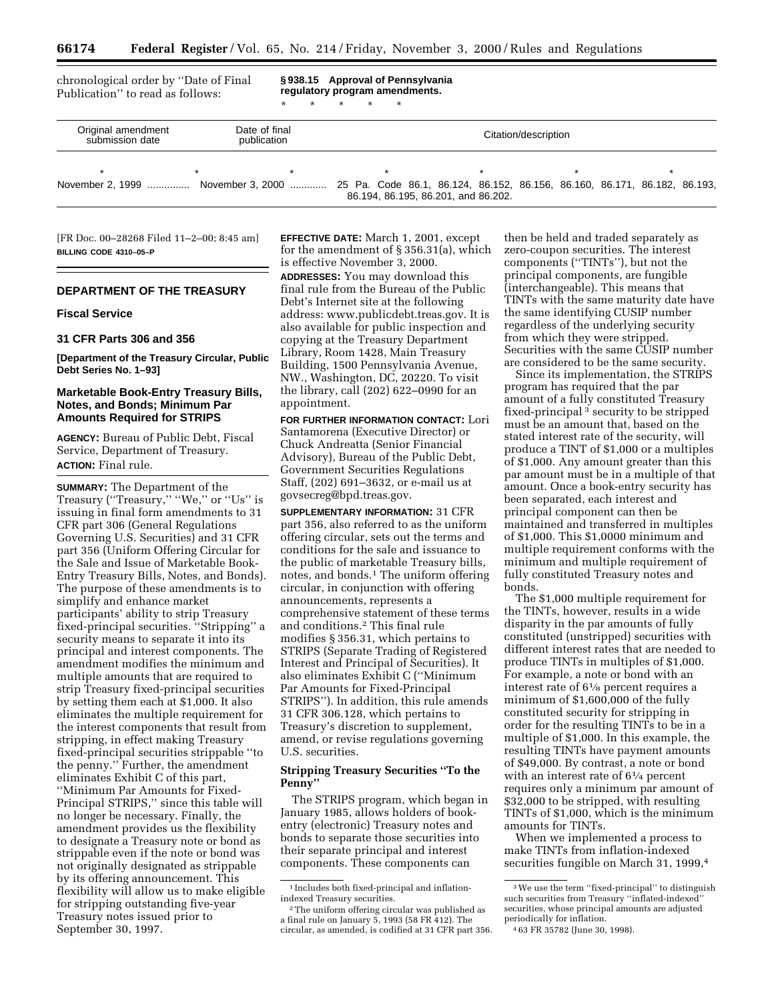chronological order by ''Date of Final Publication'' to read as follows:

**§ 938.15 Approval of Pennsylvania regulatory program amendments.**

\* \* \* \* \*

| Original amendment<br>submission date | Date of final<br>publication                                                                                  | Citation/description                |  |  |  |
|---------------------------------------|---------------------------------------------------------------------------------------------------------------|-------------------------------------|--|--|--|
|                                       | November 2, 1999  November 3, 2000  25 Pa. Code 86.1, 86.124, 86.152, 86.156, 86.160, 86.171, 86.182, 86.193, | 86.194, 86.195, 86.201, and 86.202. |  |  |  |

[FR Doc. 00–28268 Filed 11–2–00; 8:45 am] **BILLING CODE 4310–05–P**

# **DEPARTMENT OF THE TREASURY**

## **Fiscal Service**

#### **31 CFR Parts 306 and 356**

**[Department of the Treasury Circular, Public Debt Series No. 1–93]**

# **Marketable Book-Entry Treasury Bills, Notes, and Bonds; Minimum Par Amounts Required for STRIPS**

**AGENCY:** Bureau of Public Debt, Fiscal Service, Department of Treasury. **ACTION:** Final rule.

**SUMMARY:** The Department of the Treasury ("Treasury," "We," or "Us" is issuing in final form amendments to 31 CFR part 306 (General Regulations Governing U.S. Securities) and 31 CFR part 356 (Uniform Offering Circular for the Sale and Issue of Marketable Book-Entry Treasury Bills, Notes, and Bonds). The purpose of these amendments is to simplify and enhance market participants' ability to strip Treasury fixed-principal securities. ''Stripping'' a security means to separate it into its principal and interest components. The amendment modifies the minimum and multiple amounts that are required to strip Treasury fixed-principal securities by setting them each at \$1,000. It also eliminates the multiple requirement for the interest components that result from stripping, in effect making Treasury fixed-principal securities strippable ''to the penny.'' Further, the amendment eliminates Exhibit C of this part, ''Minimum Par Amounts for Fixed-Principal STRIPS,'' since this table will no longer be necessary. Finally, the amendment provides us the flexibility to designate a Treasury note or bond as strippable even if the note or bond was not originally designated as strippable by its offering announcement. This flexibility will allow us to make eligible for stripping outstanding five-year Treasury notes issued prior to September 30, 1997.

**EFFECTIVE DATE:** March 1, 2001, except for the amendment of § 356.31(a), which is effective November 3, 2000.

**ADDRESSES:** You may download this final rule from the Bureau of the Public Debt's Internet site at the following address: www.publicdebt.treas.gov. It is also available for public inspection and copying at the Treasury Department Library, Room 1428, Main Treasury Building, 1500 Pennsylvania Avenue, NW., Washington, DC, 20220. To visit the library, call (202) 622–0990 for an appointment.

**FOR FURTHER INFORMATION CONTACT:** Lori Santamorena (Executive Director) or Chuck Andreatta (Senior Financial Advisory), Bureau of the Public Debt, Government Securities Regulations Staff, (202) 691–3632, or e-mail us at govsecreg@bpd.treas.gov.

**SUPPLEMENTARY INFORMATION:** 31 CFR part 356, also referred to as the uniform offering circular, sets out the terms and conditions for the sale and issuance to the public of marketable Treasury bills, notes, and bonds.<sup>1</sup> The uniform offering circular, in conjunction with offering announcements, represents a comprehensive statement of these terms and conditions.2 This final rule modifies § 356.31, which pertains to STRIPS (Separate Trading of Registered Interest and Principal of Securities). It also eliminates Exhibit C (''Minimum Par Amounts for Fixed-Principal STRIPS''). In addition, this rule amends 31 CFR 306.128, which pertains to Treasury's discretion to supplement, amend, or revise regulations governing U.S. securities.

## **Stripping Treasury Securities ''To the Penny''**

The STRIPS program, which began in January 1985, allows holders of bookentry (electronic) Treasury notes and bonds to separate those securities into their separate principal and interest components. These components can

then be held and traded separately as zero-coupon securities. The interest components (''TINTs''), but not the principal components, are fungible (interchangeable). This means that TINTs with the same maturity date have the same identifying CUSIP number regardless of the underlying security from which they were stripped. Securities with the same CUSIP number are considered to be the same security.

Since its implementation, the STRIPS program has required that the par amount of a fully constituted Treasury fixed-principal 3 security to be stripped must be an amount that, based on the stated interest rate of the security, will produce a TINT of \$1,000 or a multiples of \$1,000. Any amount greater than this par amount must be in a multiple of that amount. Once a book-entry security has been separated, each interest and principal component can then be maintained and transferred in multiples of \$1,000. This \$1,0000 minimum and multiple requirement conforms with the minimum and multiple requirement of fully constituted Treasury notes and bonds.

The \$1,000 multiple requirement for the TINTs, however, results in a wide disparity in the par amounts of fully constituted (unstripped) securities with different interest rates that are needed to produce TINTs in multiples of \$1,000. For example, a note or bond with an interest rate of 61⁄8 percent requires a minimum of \$1,600,000 of the fully constituted security for stripping in order for the resulting TINTs to be in a multiple of \$1,000. In this example, the resulting TINTs have payment amounts of \$49,000. By contrast, a note or bond with an interest rate of  $6\frac{1}{4}$  percent requires only a minimum par amount of \$32,000 to be stripped, with resulting TINTs of \$1,000, which is the minimum amounts for TINTs.

When we implemented a process to make TINTs from inflation-indexed securities fungible on March 31, 1999,<sup>4</sup>

<sup>1</sup> Includes both fixed-principal and inflationindexed Treasury securities.

<sup>2</sup>The uniform offering circular was published as a final rule on January 5, 1993 (58 FR 412). The circular, as amended, is codified at 31 CFR part 356.

<sup>3</sup>We use the term ''fixed-principal'' to distinguish such securities from Treasury ''inflated-indexed'' securities, whose principal amounts are adjusted periodically for inflation.

<sup>4</sup> 63 FR 35782 (June 30, 1998).